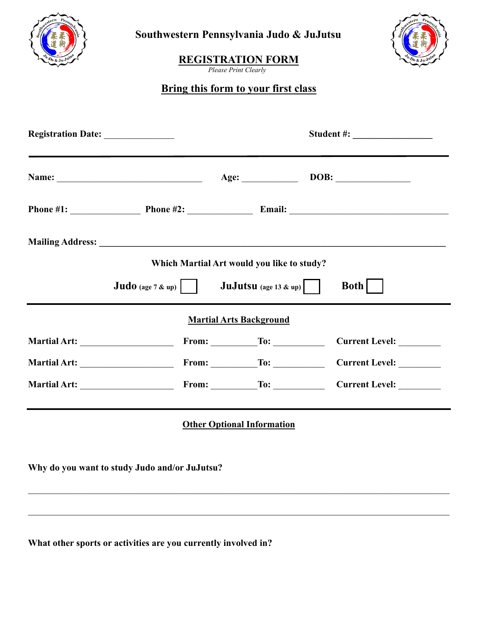

**Southwestern Pennsylvania Judo & JuJutsu**



## **REGISTRATION FORM**

*Please Print Clearly*

# **Bring this form to your first class**

|                                                                                                            | Student #:                                                                                                                                                                                                                                                                                                                                                                                                                                                                                         |
|------------------------------------------------------------------------------------------------------------|----------------------------------------------------------------------------------------------------------------------------------------------------------------------------------------------------------------------------------------------------------------------------------------------------------------------------------------------------------------------------------------------------------------------------------------------------------------------------------------------------|
|                                                                                                            |                                                                                                                                                                                                                                                                                                                                                                                                                                                                                                    |
|                                                                                                            |                                                                                                                                                                                                                                                                                                                                                                                                                                                                                                    |
|                                                                                                            | <b>Both</b>                                                                                                                                                                                                                                                                                                                                                                                                                                                                                        |
|                                                                                                            |                                                                                                                                                                                                                                                                                                                                                                                                                                                                                                    |
|                                                                                                            |                                                                                                                                                                                                                                                                                                                                                                                                                                                                                                    |
|                                                                                                            |                                                                                                                                                                                                                                                                                                                                                                                                                                                                                                    |
|                                                                                                            | Current Level: ________                                                                                                                                                                                                                                                                                                                                                                                                                                                                            |
|                                                                                                            |                                                                                                                                                                                                                                                                                                                                                                                                                                                                                                    |
|                                                                                                            |                                                                                                                                                                                                                                                                                                                                                                                                                                                                                                    |
| Registration Date:<br><b>Judo</b> (age $7 \& \text{up}$ )<br>Why do you want to study Judo and/or JuJutsu? | Name: <u>Name:</u> Age: 1998: 1998: 1998: 1998: 1998: 1998: 1998: 1998: 1999: 1998: 1999: 1999: 1999: 1999: 1999: 1999: 1999: 1999: 1999: 1999: 1999: 1999: 1999: 1999: 1999: 1999: 1999: 1999: 1999: 1999: 1999: 1999: 1999: 1999:<br>Which Martial Art would you like to study?<br><b>JuJutsu</b> (age 13 & up)<br><b>Martial Arts Background</b><br>From: $\begin{array}{c}\n\hline\n\end{array}$ To:<br>From: $\begin{array}{c}\n\hline\n\end{array}$ To:<br><b>Other Optional Information</b> |

**What other sports or activities are you currently involved in?**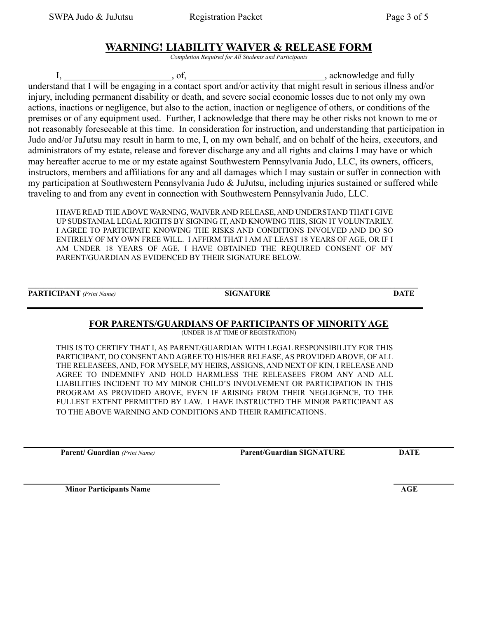### **WARNING! LIABILITY WAIVER & RELEASE FORM**

*Completion Required for All Students and Participants*

I, the same of  $\alpha$ , of,  $\alpha$  is the set of  $\alpha$ , acknowledge and fully understand that I will be engaging in a contact sport and/or activity that might result in serious illness and/or injury, including permanent disability or death, and severe social economic losses due to not only my own actions, inactions or negligence, but also to the action, inaction or negligence of others, or conditions of the premises or of any equipment used. Further, I acknowledge that there may be other risks not known to me or not reasonably foreseeable at this time. In consideration for instruction, and understanding that participation in Judo and/or JuJutsu may result in harm to me, I, on my own behalf, and on behalf of the heirs, executors, and administrators of my estate, release and forever discharge any and all rights and claims I may have or which may hereafter accrue to me or my estate against Southwestern Pennsylvania Judo, LLC, its owners, officers, instructors, members and affiliations for any and all damages which I may sustain or suffer in connection with my participation at Southwestern Pennsylvania Judo & JuJutsu, including injuries sustained or suffered while traveling to and from any event in connection with Southwestern Pennsylvania Judo, LLC.

I HAVE READ THE ABOVE WARNING, WAIVER AND RELEASE, AND UNDERSTAND THAT I GIVE UP SUBSTANIAL LEGAL RIGHTS BY SIGNING IT, AND KNOWING THIS, SIGN IT VOLUNTARILY. I AGREE TO PARTICIPATE KNOWING THE RISKS AND CONDITIONS INVOLVED AND DO SO ENTIRELY OF MY OWN FREE WILL. I AFFIRM THAT I AM AT LEAST 18 YEARS OF AGE, OR IF I AM UNDER 18 YEARS OF AGE, I HAVE OBTAINED THE REQUIRED CONSENT OF MY PARENT/GUARDIAN AS EVIDENCED BY THEIR SIGNATURE BELOW.

**\_\_\_\_\_\_\_\_\_\_\_\_\_\_\_\_\_\_\_\_\_\_\_\_\_\_\_\_\_\_\_\_\_\_\_\_\_\_\_\_\_\_\_\_\_\_\_\_\_\_\_\_\_\_\_\_\_\_\_\_\_\_\_\_\_\_\_\_\_\_\_\_\_\_\_\_\_\_\_\_\_\_\_\_\_\_\_\_\_\_\_\_\_\_\_\_\_\_\_\_**

**PARTICIPANT** *(Print Name)* **SIGNATURE DATE**

#### **FOR PARENTS/GUARDIANS OF PARTICIPANTS OF MINORITY AGE**

(UNDER 18 AT TIME OF REGISTRATION)

THIS IS TO CERTIFY THAT I, AS PARENT/GUARDIAN WITH LEGAL RESPONSIBILITY FOR THIS PARTICIPANT, DO CONSENT AND AGREE TO HIS/HER RELEASE, AS PROVIDED ABOVE, OF ALL THE RELEASEES, AND, FOR MYSELF, MY HEIRS, ASSIGNS, AND NEXT OF KIN, I RELEASE AND AGREE TO INDEMNIFY AND HOLD HARMLESS THE RELEASEES FROM ANY AND ALL LIABILITIES INCIDENT TO MY MINOR CHILD'S INVOLVEMENT OR PARTICIPATION IN THIS PROGRAM AS PROVIDED ABOVE, EVEN IF ARISING FROM THEIR NEGLIGENCE, TO THE FULLEST EXTENT PERMITTED BY LAW. I HAVE INSTRUCTED THE MINOR PARTICIPANT AS TO THE ABOVE WARNING AND CONDITIONS AND THEIR RAMIFICATIONS.

**Parent/ Guardian** *(Print Name)* **Parent/Guardian SIGNATURE DATE**

**Minor Participants Name AGE**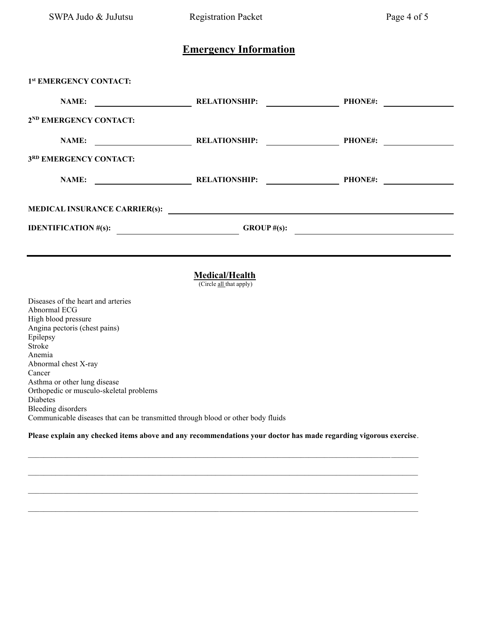### **Emergency Information**

| 1st EMERGENCY CONTACT:                                                                                                                |                                                                     |                                                                                                                                         |  |
|---------------------------------------------------------------------------------------------------------------------------------------|---------------------------------------------------------------------|-----------------------------------------------------------------------------------------------------------------------------------------|--|
| <b>NAME:</b><br><u> 1989 - Johann Barn, mars ann an t-Amhainn an t-Amhainn an t-Amhainn an t-Amhainn an t-Amhainn an t-Amhainn an</u> | <b>RELATIONSHIP:</b><br><u> 1990 - Jan Barbara Barat III, marka</u> | <b>PHONE#:</b><br><u> a shekara ta 1999 a shekara ta 1991 a shekara ta 1991 a shekara ta 1991 a shekara ta 1991 a shekara ta 1991 a</u> |  |
| 2 <sup>ND</sup> EMERGENCY CONTACT:                                                                                                    |                                                                     |                                                                                                                                         |  |
| <b>NAME:</b><br><u> 1990 - John Stone, amerikansk politiker (</u>                                                                     | <b>RELATIONSHIP:</b><br><u> 1990 - Johann Barbara, martin a</u>     | <b>PHONE#:</b>                                                                                                                          |  |
| 3RD EMERGENCY CONTACT:                                                                                                                |                                                                     |                                                                                                                                         |  |
| <b>NAME:</b><br><u> Liste de la construcción de la construcción de la construcción de la construcción de la construcción de la c</u>  | <b>RELATIONSHIP:</b>                                                | <b>PHONE#:</b>                                                                                                                          |  |
| MEDICAL INSURANCE CARRIER(s):                                                                                                         |                                                                     |                                                                                                                                         |  |
| <b>IDENTIFICATION</b> #(s):                                                                                                           | GROUP $#(s)$ :                                                      | the contract of the contract of the contract of the contract of the contract of the contract of the contract of                         |  |
|                                                                                                                                       |                                                                     |                                                                                                                                         |  |

#### **Medical/Health**

(Circle all that apply)

Diseases of the heart and arteries Abnormal ECG High blood pressure Angina pectoris (chest pains) Epilepsy Stroke Anemia Abnormal chest X-ray Cancer Asthma or other lung disease Orthopedic or musculo-skeletal problems Diabetes Bleeding disorders Communicable diseases that can be transmitted through blood or other body fluids

**Please explain any checked items above and any recommendations your doctor has made regarding vigorous exercise**.

 $\mathcal{L}_\mathcal{L} = \mathcal{L}_\mathcal{L} = \mathcal{L}_\mathcal{L} = \mathcal{L}_\mathcal{L} = \mathcal{L}_\mathcal{L} = \mathcal{L}_\mathcal{L} = \mathcal{L}_\mathcal{L} = \mathcal{L}_\mathcal{L} = \mathcal{L}_\mathcal{L} = \mathcal{L}_\mathcal{L} = \mathcal{L}_\mathcal{L} = \mathcal{L}_\mathcal{L} = \mathcal{L}_\mathcal{L} = \mathcal{L}_\mathcal{L} = \mathcal{L}_\mathcal{L} = \mathcal{L}_\mathcal{L} = \mathcal{L}_\mathcal{L}$ 

 $\mathcal{L}_\mathcal{L} = \mathcal{L}_\mathcal{L} = \mathcal{L}_\mathcal{L} = \mathcal{L}_\mathcal{L} = \mathcal{L}_\mathcal{L} = \mathcal{L}_\mathcal{L} = \mathcal{L}_\mathcal{L} = \mathcal{L}_\mathcal{L} = \mathcal{L}_\mathcal{L} = \mathcal{L}_\mathcal{L} = \mathcal{L}_\mathcal{L} = \mathcal{L}_\mathcal{L} = \mathcal{L}_\mathcal{L} = \mathcal{L}_\mathcal{L} = \mathcal{L}_\mathcal{L} = \mathcal{L}_\mathcal{L} = \mathcal{L}_\mathcal{L}$